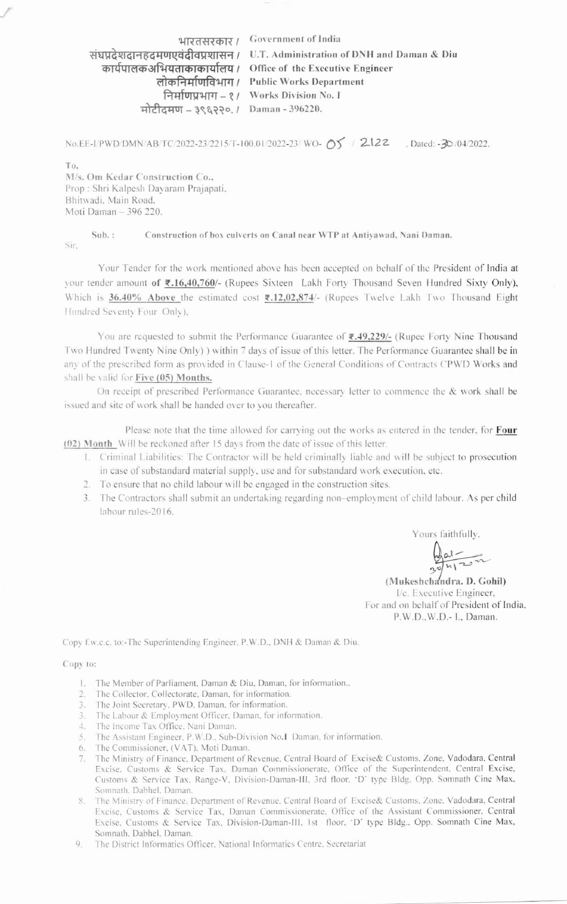भारतसरकार / Government of India संघप्रदेशदानहदमणएवंदीवप्रशासन / U.T. Administration of DNH and Daman & Diu कार्यपालकअभियताकाकार्यालय / Office of the Executive Engineer लोकनिर्माणविभाग / Public Works Department निर्माणप्रभाग - १ / Works Division No. I मोटीदमण - ३९६२२०. / Daman - 396220.

No.EE-I/PWD/DMN/AB/TC/2022-23/2215/T-100.01/2022-23/ WO- 05 / 2122 . Dated: -30/04/2022.

To.

M/s. Om Kedar Construction Co., Prop : Shri Kalpesh Dayaram Prajapati, Bhitwadi, Main Road, Moti Daman - 396 220.

 $Sub.$ : Construction of box culverts on Canal near WTP at Antivawad, Nani Daman. Sir.

Your Tender for the work mentioned above has been accepted on behalf of the President of India at your tender amount of ₹.16,40,760/- (Rupees Sixteen Lakh Forty Thousand Seven Hundred Sixty Only), Which is 36.40% Above the estimated cost  $\overline{\epsilon}$ .12,02,874/- (Rupees Twelve Lakh Two Thousand Eight Hundred Seventy Four Only),

You are requested to submit the Performance Guarantee of ₹.49,229/- (Rupee Forty Nine Thousand Two Hundred Twenty Nine Only) ) within 7 days of issue of this letter. The Performance Guarantee shall be in any of the prescribed form as provided in Clause-1 of the General Conditions of Contracts CPWD Works and shall be valid for Five (05) Months.

On receipt of prescribed Performance Guarantee, necessary letter to commence the & work shall be issued and site of work shall be handed over to you thereafter.

Please note that the time allowed for carrying out the works as entered in the tender, for Four (02) Month Will be reckoned after 15 days from the date of issue of this letter.

- 1. Criminal Liabilities: The Contractor will be held criminally liable and will be subject to prosecution in case of substandard material supply, use and for substandard work execution, etc.
- 2. To ensure that no child labour will be engaged in the construction sites.
- 3. The Contractors shall submit an undertaking regarding non-employment of child labour. As per child labour rules-2016.

Yours faithfully,

 $\frac{bdat}{2gh+2h}$ 

(Mukeshchandra, D. Gohil) I/c. Executive Engineer, For and on behalf of President of India, P.W.D., W.D.- I., Daman.

Copy f.w.c.c. to:-The Superintending Engineer, P.W.D., DNH & Daman & Diu.

## Copy to:

- 1. The Member of Parliament, Daman & Diu, Daman, for information.,
- The Collector, Collectorate, Daman, for information.<br>The Joint Secretary, PWD, Daman, for information.  $2.$
- 
- 3. The Labour & Employment Officer, Daman, for information.
- 4. The Income Tax Office, Nani Daman.
- 5. The Assistant Engineer, P.W.D., Sub-Division No.I Daman, for information.
- The Commissioner, (VAT), Moti Daman, 6.
- The Ministry of Finance, Department of Revenue, Central Board of Excise& Customs, Zone, Vadodara, Central 7. Excise, Customs & Service Tax, Daman Commissionerate, Office of the Superintendent, Central Excise, Customs & Service Tax, Range-V, Division-Daman-III, 3rd floor, 'D' type Bldg. Opp. Somnath Cine Max, Somnath, Dabhel, Daman.
- 8. The Ministry of Finance, Department of Revenue, Central Board of Excise& Customs, Zone, Vadodara, Central Excise, Customs & Service Tax, Daman Commissionerate, Office of the Assistant Commissioner, Central Excise, Customs & Service Tax, Division-Daman-III, 1st floor, 'D' type Bldg., Opp. Somnath Cine Max, Somnath, Dabhel, Daman.
- 9. The District Informatics Officer, National Informatics Centre, Secretariat